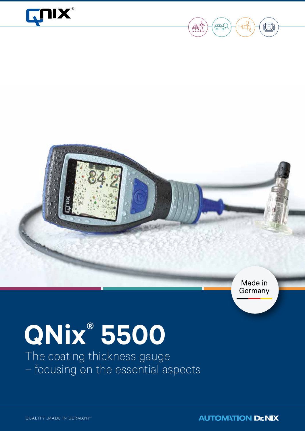





Germany

# **QNix® 5500**

The coating thickness gauge – focusing on the essential aspects

**AUTOMATION Dr NIX**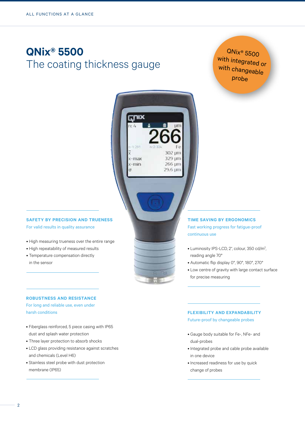## **QNix® 5500** The coating thickness gauge

**CLUIX** 

 $-1:291$ 

x-max  $x$ -min

 $\sigma$ 

**UD** 

302 um 329 µm

266 um 29.6 um

QNix® 5500 with integrated or with changeable probe



For valid results in quality assurance

- High measuring trueness over the entire range
- High repeatability of measured results
- Temperature compensation directly in the sensor

#### **Robustness and resistance**

For long and reliable use, even under harsh conditions

- Fiberglass reinforced, 5 piece casing with IP65 dust and splash water protection
- Three layer protection to absorb shocks
- LCD glass providing resistance against scratches and chemicals (Level H6)
- Stainless steel probe with dust protection membrane (IP65)

#### **Time saving by ergonomics** Fast working progress for fatigue-proof

continuous use

- Luminosity IPS-LCD, 2", colour, 350 cd/m<sup>2</sup>, reading angle 70°
- Automatic flip display 0°, 90°, 180°, 270°
- Low centre of gravity with large contact surface for precise measuring

#### **Flexibility and expandability**

Future-proof by changeable probes

- Gauge body suitable for Fe-, NFe- and dual-probes
- Integrated probe and cable probe available in one device
- Increased readiness for use by quick change of probes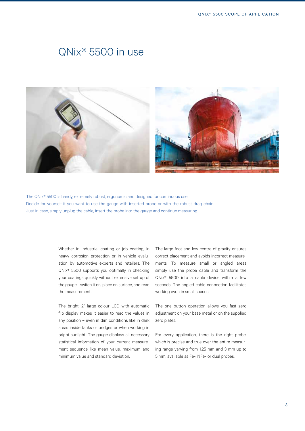## QNix® 5500 in use



The QNix® 5500 is handy, extremely robust, ergonomic and designed for continuous use. Decide for yourself if you want to use the gauge with inserted probe or with the robust drag chain. Just in case, simply unplug the cable, insert the probe into the gauge and continue measuring.

> Whether in industrial coating or job coating, in heavy corrosion protection or in vehicle evaluation by automotive experts and retailers: The QNix® 5500 supports you optimally in checking your coatings quickly without extensive set up of the gauge - switch it on, place on surface, and read the measurement.

> The bright, 2" large colour LCD with automatic flip display makes it easier to read the values in any position – even in dim conditions like in dark areas inside tanks or bridges or when working in bright sunlight. The gauge displays all necessary statistical information of your current measurement sequence like mean value, maximum and minimum value and standard deviation.

The large foot and low centre of gravity ensures correct placement and avoids incorrect measurements. To measure small or angled areas simply use the probe cable and transform the QNix® 5500 into a cable device within a few seconds. The angled cable connection facilitates working even in small spaces.

The one button operation allows you fast zero adjustment on your base metal or on the supplied zero plates.

For every application, there is the right probe, which is precise and true over the entire measuring range varying from 1,25 mm and 3 mm up to 5 mm, available as Fe-, NFe- or dual probes.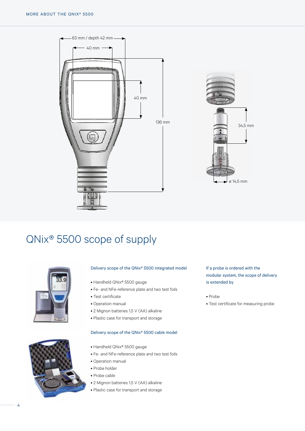



## QNix® 5500 scope of supply





#### Delivery scope of the QNix® 5500 integrated model

- Handheld QNix® 5500 gauge
- Fe- and NFe-reference plate and two test foils
- Test certificate
- Operation manual
- 2 Mignon batteries 1,5 V (AA) alkaline
- Plastic case for transport and storage

#### Delivery scope of the QNix® 5500 cable model

- Handheld QNix® 5500 gauge
- Fe- and NFe-reference plate and two test foils
- Operation manual
- Probe holder
- Probe cable
- 2 Mignon batteries 1,5 V (AA) alkaline
- Plastic case for transport and storage

If a probe is ordered with the modular system, the scope of delivery is extended by

#### • Probe

• Test certificate for measuring probe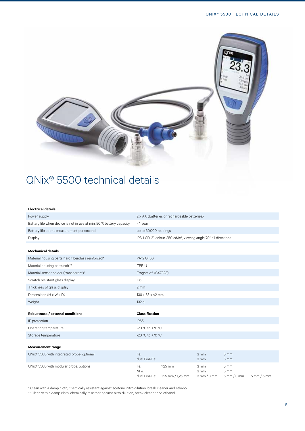

## QNix® 5500 technical details

#### **Electrical details**

| Power supply                                                         | 2 x AA (batteries or rechargeable batteries)                                  |
|----------------------------------------------------------------------|-------------------------------------------------------------------------------|
| Battery life when device is not in use at min. 50 % battery capacity | > 1 year                                                                      |
| Battery life at one measurement per second                           | up to 60,000 readings                                                         |
| Display                                                              | IPS-LCD, 2", colour, 350 cd/m <sup>2</sup> , viewing angle 70° all directions |
|                                                                      |                                                                               |
| <b>Mechanical details</b>                                            |                                                                               |
| Material housing parts hard fiberglass reinforced*                   | <b>PA12 GF30</b>                                                              |
| Material housing parts soft**                                        | TPE-U                                                                         |
| Material sensor holder (transparent)*                                | Trogamid® (CX7323)                                                            |
| Scratch resistant glass display                                      | H <sub>6</sub>                                                                |
| Thickness of glass display                                           | $2 \, \text{mm}$                                                              |
| Dimensions (H x W x D)                                               | $136 \times 63 \times 42$ mm                                                  |
| Weight                                                               | 132 g                                                                         |
|                                                                      |                                                                               |
| Robustness / external conditions                                     | <b>Classification</b>                                                         |
| IP protection                                                        | <b>IP65</b>                                                                   |
| Operating temperature                                                | -20 °C to +70 °C                                                              |
| Storage temperature                                                  | -20 °C to +70 °C                                                              |
|                                                                      |                                                                               |
| <b>Measurement range</b>                                             |                                                                               |

| QNix <sup>®</sup> 5500 with integrated probe, optional | Fe:<br>dual Fe/NFe:         |                              | $3 \text{ mm}$<br>$3 \text{ mm}$         | $5 \text{ mm}$<br>$5 \text{ mm}$         |                               |
|--------------------------------------------------------|-----------------------------|------------------------------|------------------------------------------|------------------------------------------|-------------------------------|
| QNix <sup>®</sup> 5500 with modular probe, optional    | Fe:<br>NFe:<br>dual Fe/NFe: | 1.25 mm<br>1,25 mm / 1,25 mm | 3 mm<br>$3 \text{ mm}$<br>$3$ mm $/3$ mm | 5 mm<br>$5 \text{ mm}$<br>$5$ mm $/3$ mm | $5 \text{ mm} / 5 \text{ mm}$ |

\* Clean with a damp cloth; chemically resistant against acetone, nitro dilution, break cleaner and ethanol.

\*\* Clean with a damp cloth; chemically resistant against nitro dilution, break cleaner and ethanol.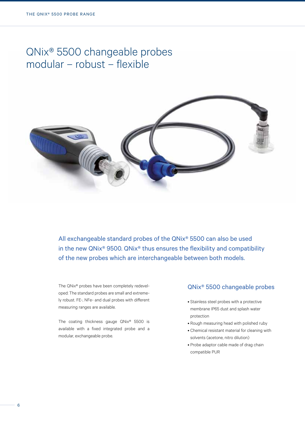## QNix® 5500 changeable probes modular – robust – flexible



All exchangeable standard probes of the QNix® 5500 can also be used in the new QNix® 9500. QNix® thus ensures the flexibility and compatibility of the new probes which are interchangeable between both models.

The QNix® probes have been completely redeveloped: The standard probes are small and extremely robust. FE-, NFe- and dual probes with different measuring ranges are available.

The coating thickness gauge QNix® 5500 is available with a fixed integrated probe and a modular, exchangeable probe.

#### QNix® 5500 changeable probes

- Stainless steel probes with a protective membrane IP65 dust and splash water protection
- Rough measuring head with polished ruby
- Chemical resistant material for cleaning with solvents (acetone, nitro dilution)
- Probe adaptor cable made of drag chain compatible PUR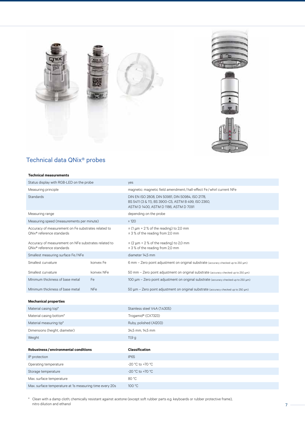



### Technical data QNix® probes

#### **Technical measurements**

| Status display with RGB-LED on the probe                                                      |            | yes                                                                                                                                              |  |  |
|-----------------------------------------------------------------------------------------------|------------|--------------------------------------------------------------------------------------------------------------------------------------------------|--|--|
| Measuring principle                                                                           |            | magnetic: magnetic field amendment / hall-effect Fe / whirl current NFe                                                                          |  |  |
| <b>Standards</b>                                                                              |            | DIN EN ISO 2808, DIN 50981, DIN 50984, ISO 2178,<br>BS 5411 (3 & 11), BS 3900-C5, ASTM B 499, ISO 2360,<br>ASTM D 1400, ASTM D 1186, ASTM D 7091 |  |  |
| Measuring range                                                                               |            | depending on the probe                                                                                                                           |  |  |
| Measuring speed (measurements per minute)                                                     |            | $\geq 120$                                                                                                                                       |  |  |
| Accuracy of measurement on Fe substrates related to<br>QNix <sup>®</sup> reference standards  |            | $\pm$ (1 µm + 2 % of the reading) to 2,0 mm<br>± 3 % of the reading from 2,0 mm                                                                  |  |  |
| Accuracy of measurement on NFe substrates related to<br>QNix <sup>®</sup> reference standards |            | $\pm$ (2 µm + 2 % of the reading) to 2,0 mm<br>± 3 % of the reading from 2,0 mm                                                                  |  |  |
| Smallest measuring surface Fe/NFe                                                             |            | diameter 14,5 mm                                                                                                                                 |  |  |
| Smallest curvature                                                                            | konvex Fe  | 6 mm - Zero point adjustment on original substrate (accuracy checked up to 250 µm)                                                               |  |  |
| Smallest curvature                                                                            | konvex NFe | 50 mm - Zero point adjustment on original substrate (accuracy checked up to 250 µm)                                                              |  |  |
| Mlnimum thickness of base metal                                                               | Fe         | 100 μm - Zero point adjustment on original substrate (accuracy checked up to 250 μm)                                                             |  |  |
| Minimum thickness of base metal                                                               | <b>NFe</b> | 50 μm - Zero point adjustment on original substrate (accuracy checked up to 250 μm)                                                              |  |  |
| <b>Mechanical properties</b>                                                                  |            |                                                                                                                                                  |  |  |
| Material casing top*                                                                          |            | Stainless steel V4A (1.4305)                                                                                                                     |  |  |
| Material casing bottom*                                                                       |            | Trogamid® (CX7323)                                                                                                                               |  |  |
| Material measuring tip*                                                                       |            | Ruby, polished (Al203)                                                                                                                           |  |  |
| Dimensions (height, diameter)                                                                 |            | 34,5 mm, 14,5 mm                                                                                                                                 |  |  |
| Weight                                                                                        |            | 11,9g                                                                                                                                            |  |  |
| Robustness / environmental conditions                                                         |            | <b>Classification</b>                                                                                                                            |  |  |
| IP protection                                                                                 |            | <b>IP65</b>                                                                                                                                      |  |  |
| Operating temperature                                                                         |            | -20 °C to +70 °C                                                                                                                                 |  |  |
| Storage temperature                                                                           |            | -20 °C to +70 °C                                                                                                                                 |  |  |
| Max. surface temperature                                                                      |            | 80 °C                                                                                                                                            |  |  |
| Max. surface temperature at 1s measuring time every 20s                                       |            | 100 °C                                                                                                                                           |  |  |

\* Clean with a damp cloth; chemically resistant against acetone (except soft rubber parts e.g. keyboards or rubber protective frame), nitro dilution and ethanol